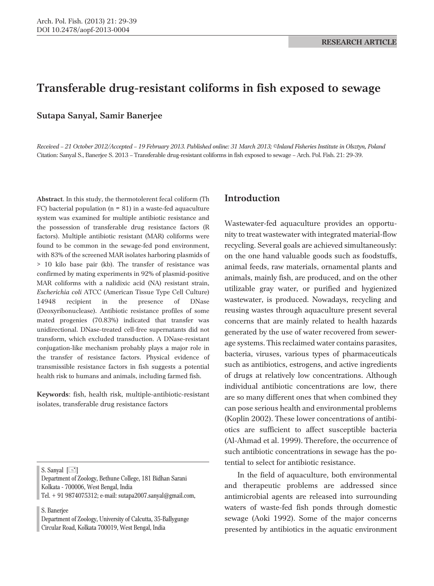# **Transferable drug-resistant coliforms in fish exposed to sewage**

**Sutapa Sanyal, Samir Banerjee**

*Received – 21 October 2012/Accepted – 19 February 2013. Published online: 31 March 2013; ©Inland Fisheries Institute in Olsztyn, Poland* Citation: Sanyal S., Banerjee S. 2013 – Transferable drug-resistant coliforms in fish exposed to sewage – Arch. Pol. Fish. 21: 29-39.

**Abstract**. In this study, the thermotolerent fecal coliform (Th FC) bacterial population ( $n = 81$ ) in a waste-fed aquaculture system was examined for multiple antibiotic resistance and the possession of transferable drug resistance factors (R factors). Multiple antibiotic resistant (MAR) coliforms were found to be common in the sewage-fed pond environment, with 83% of the screened MAR isolates harboring plasmids of > 10 kilo base pair (kb). The transfer of resistance was confirmed by mating experiments in 92% of plasmid-positive MAR coliforms with a nalidixic acid (NA) resistant strain, *Escherichia coli* ATCC (American Tissue Type Cell Culture) 14948 recipient in the presence of DNase (Deoxyribonuclease). Antibiotic resistance profiles of some mated progenies (70.83%) indicated that transfer was unidirectional. DNase-treated cell-free supernatants did not transform, which excluded transduction. A DNase-resistant conjugation-like mechanism probably plays a major role in the transfer of resistance factors. Physical evidence of transmissible resistance factors in fish suggests a potential health risk to humans and animals, including farmed fish.

**Keywords**: fish, health risk, multiple-antibiotic-resistant isolates, transferable drug resistance factors

S. Sanyal  $[\equiv]$ 

Department of Zoology, Bethune College, 181 Bidhan Sarani Kolkata - 700006, West Bengal, India

Tel. + 91 9874075312; e-mail: sutapa2007.sanyal@gmail.com,

S. Banerjee

Department of Zoology, University of Calcutta, 35-Ballygunge Circular Road, Kolkata 700019, West Bengal, India

### **Introduction**

Wastewater-fed aquaculture provides an opportunity to treat wastewater with integrated material-flow recycling. Several goals are achieved simultaneously: on the one hand valuable goods such as foodstuffs, animal feeds, raw materials, ornamental plants and animals, mainly fish, are produced, and on the other utilizable gray water, or purified and hygienized wastewater, is produced. Nowadays, recycling and reusing wastes through aquaculture present several concerns that are mainly related to health hazards generated by the use of water recovered from sewerage systems. This reclaimed water contains parasites, bacteria, viruses, various types of pharmaceuticals such as antibiotics, estrogens, and active ingredients of drugs at relatively low concentrations. Although individual antibiotic concentrations are low, there are so many different ones that when combined they can pose serious health and environmental problems (Koplin 2002). These lower concentrations of antibiotics are sufficient to affect susceptible bacteria (Al-Ahmad et al. 1999). Therefore, the occurrence of such antibiotic concentrations in sewage has the potential to select for antibiotic resistance.

In the field of aquaculture, both environmental and therapeutic problems are addressed since antimicrobial agents are released into surrounding waters of waste-fed fish ponds through domestic sewage (Aoki 1992). Some of the major concerns presented by antibiotics in the aquatic environment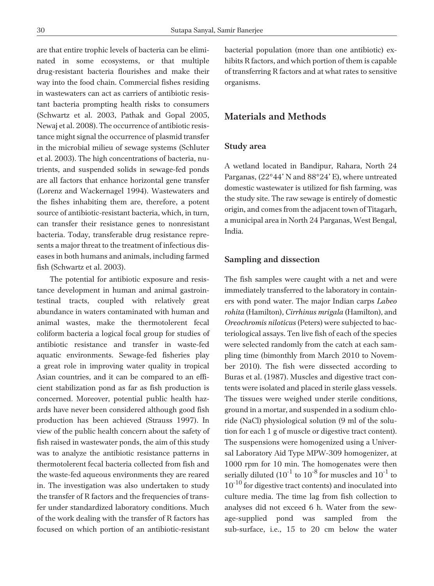are that entire trophic levels of bacteria can be eliminated in some ecosystems, or that multiple drug-resistant bacteria flourishes and make their way into the food chain. Commercial fishes residing in wastewaters can act as carriers of antibiotic resistant bacteria prompting health risks to consumers (Schwartz et al. 2003, Pathak and Gopal 2005, Newaj et al. 2008). The occurrence of antibiotic resistance might signal the occurrence of plasmid transfer in the microbial milieu of sewage systems (Schluter et al. 2003). The high concentrations of bacteria, nutrients, and suspended solids in sewage-fed ponds are all factors that enhance horizontal gene transfer (Lorenz and Wackernagel 1994). Wastewaters and the fishes inhabiting them are, therefore, a potent source of antibiotic-resistant bacteria, which, in turn, can transfer their resistance genes to nonresistant bacteria. Today, transferable drug resistance represents a major threat to the treatment of infectious diseases in both humans and animals, including farmed fish (Schwartz et al. 2003).

The potential for antibiotic exposure and resistance development in human and animal gastrointestinal tracts, coupled with relatively great abundance in waters contaminated with human and animal wastes, make the thermotolerent fecal coliform bacteria a logical focal group for studies of antibiotic resistance and transfer in waste-fed aquatic environments. Sewage-fed fisheries play a great role in improving water quality in tropical Asian countries, and it can be compared to an efficient stabilization pond as far as fish production is concerned. Moreover, potential public health hazards have never been considered although good fish production has been achieved (Strauss 1997). In view of the public health concern about the safety of fish raised in wastewater ponds, the aim of this study was to analyze the antibiotic resistance patterns in thermotolerent fecal bacteria collected from fish and the waste-fed aqueous environments they are reared in. The investigation was also undertaken to study the transfer of R factors and the frequencies of transfer under standardized laboratory conditions. Much of the work dealing with the transfer of R factors has focused on which portion of an antibiotic-resistant

bacterial population (more than one antibiotic) exhibits R factors, and which portion of them is capable of transferring R factors and at what rates to sensitive organisms.

## **Materials and Methods**

#### **Study area**

A wetland located in Bandipur, Rahara, North 24 Parganas, (22°44' N and 88°24' E), where untreated domestic wastewater is utilized for fish farming, was the study site. The raw sewage is entirely of domestic origin, and comes from the adjacent town of Titagarh, a municipal area in North 24 Parganas, West Bengal, India.

#### **Sampling and dissection**

The fish samples were caught with a net and were immediately transferred to the laboratory in containers with pond water. The major Indian carps *Labeo rohita* (Hamilton), *Cirrhinus mrigala* (Hamilton), and *Oreochromis niloticus* (Peters) were subjected to bacteriological assays. Ten live fish of each of the species were selected randomly from the catch at each sampling time (bimonthly from March 2010 to November 2010). The fish were dissected according to Buras et al. (1987). Muscles and digestive tract contents were isolated and placed in sterile glass vessels. The tissues were weighed under sterile conditions, ground in a mortar, and suspended in a sodium chloride (NaCl) physiological solution (9 ml of the solution for each 1 g of muscle or digestive tract content). The suspensions were homogenized using a Universal Laboratory Aid Type MPW-309 homogenizer, at 1000 rpm for 10 min. The homogenates were then serially diluted  $(10^{-1}$  to  $10^{-8}$  for muscles and  $10^{-1}$  to  $10^{-10}$  for digestive tract contents) and inoculated into culture media. The time lag from fish collection to analyses did not exceed 6 h. Water from the sewage-supplied pond was sampled from the sub-surface, i.e., 15 to 20 cm below the water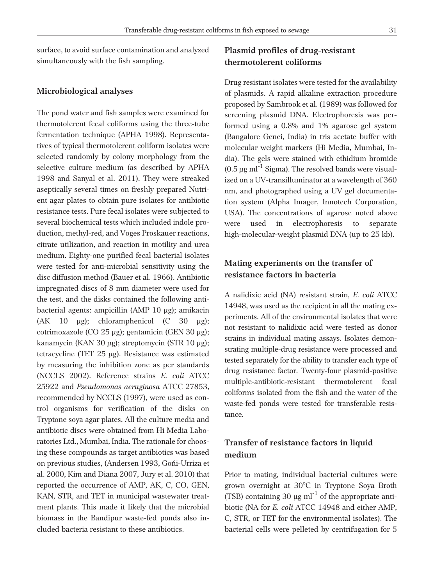surface, to avoid surface contamination and analyzed simultaneously with the fish sampling.

#### **Microbiological analyses**

The pond water and fish samples were examined for thermotolerent fecal coliforms using the three-tube fermentation technique (APHA 1998). Representatives of typical thermotolerent coliform isolates were selected randomly by colony morphology from the selective culture medium (as described by APHA 1998 and Sanyal et al. 2011). They were streaked aseptically several times on freshly prepared Nutrient agar plates to obtain pure isolates for antibiotic resistance tests. Pure fecal isolates were subjected to several biochemical tests which included indole production, methyl-red, and Voges Proskauer reactions, citrate utilization, and reaction in motility and urea medium. Eighty-one purified fecal bacterial isolates were tested for anti-microbial sensitivity using the disc diffusion method (Bauer et al. 1966). Antibiotic impregnated discs of 8 mm diameter were used for the test, and the disks contained the following antibacterial agents: ampicillin (AMP 10 µg); amikacin (AK 10  $\mu$ g); chloramphenicol (C 30  $\mu$ g); cotrimoxazole (CO 25 µg); gentamicin (GEN 30 µg); kanamycin (KAN 30 µg); streptomycin (STR 10 µg); tetracycline (TET 25 µg). Resistance was estimated by measuring the inhibition zone as per standards (NCCLS 2002). Reference strains *E. coli* ATCC 25922 and *Pseudomonas aeruginosa* ATCC 27853, recommended by NCCLS (1997), were used as control organisms for verification of the disks on Tryptone soya agar plates. All the culture media and antibiotic discs were obtained from Hi Media Laboratories Ltd., Mumbai, India. The rationale for choosing these compounds as target antibiotics was based on previous studies, (Andersen 1993, Goñi-Urriza et al. 2000, Kim and Diana 2007, Jury et al. 2010) that reported the occurrence of AMP, AK, C, CO, GEN, KAN, STR, and TET in municipal wastewater treatment plants. This made it likely that the microbial biomass in the Bandipur waste-fed ponds also included bacteria resistant to these antibiotics.

# **Plasmid profiles of drug-resistant thermotolerent coliforms**

Drug resistant isolates were tested for the availability of plasmids. A rapid alkaline extraction procedure proposed by Sambrook et al. (1989) was followed for screening plasmid DNA. Electrophoresis was performed using a 0.8% and 1% agarose gel system (Bangalore Genei, India) in tris acetate buffer with molecular weight markers (Hi Media, Mumbai, India). The gels were stained with ethidium bromide  $(0.5 \,\mu g \text{ ml}^{-1} \text{ Sigma})$ . The resolved bands were visualized on a UV-transilluminator at a wavelength of 360 nm, and photographed using a UV gel documentation system (Alpha Imager, Innotech Corporation, USA). The concentrations of agarose noted above were used in electrophoresis to separate high-molecular-weight plasmid DNA (up to 25 kb).

# **Mating experiments on the transfer of resistance factors in bacteria**

A nalidixic acid (NA) resistant strain, *E. coli* ATCC 14948, was used as the recipient in all the mating experiments. All of the environmental isolates that were not resistant to nalidixic acid were tested as donor strains in individual mating assays. Isolates demonstrating multiple-drug resistance were processed and tested separately for the ability to transfer each type of drug resistance factor. Twenty-four plasmid-positive multiple-antibiotic-resistant thermotolerent fecal coliforms isolated from the fish and the water of the waste-fed ponds were tested for transferable resistance.

### **Transfer of resistance factors in liquid medium**

Prior to mating, individual bacterial cultures were grown overnight at 30°C in Tryptone Soya Broth (TSB) containing 30  $\mu$ g ml<sup>-1</sup> of the appropriate antibiotic (NA for *E. coli* ATCC 14948 and either AMP, C, STR, or TET for the environmental isolates). The bacterial cells were pelleted by centrifugation for 5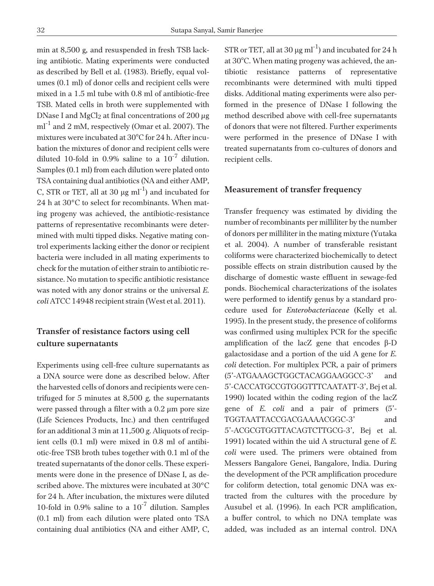min at 8,500 g*,* and resuspended in fresh TSB lacking antibiotic. Mating experiments were conducted as described by Bell et al. (1983). Briefly, equal volumes (0.1 ml) of donor cells and recipient cells were mixed in a 1.5 ml tube with 0.8 ml of antibiotic-free TSB. Mated cells in broth were supplemented with DNase I and  $MgCl<sub>2</sub>$  at final concentrations of 200  $\mu$ g  $ml^{-1}$  and 2 mM, respectively (Omar et al. 2007). The mixtures were incubated at 30°C for 24 h. After incubation the mixtures of donor and recipient cells were diluted 10-fold in 0.9% saline to a  $10^{-7}$  dilution. Samples (0.1 ml) from each dilution were plated onto TSA containing dual antibiotics (NA and either AMP, C, STR or TET, all at 30  $\mu$ g ml<sup>-1</sup>) and incubated for 24 h at 30°C to select for recombinants. When mating progeny was achieved, the antibiotic-resistance patterns of representative recombinants were determined with multi tipped disks. Negative mating control experiments lacking either the donor or recipient bacteria were included in all mating experiments to check for the mutation of either strain to antibiotic resistance. No mutation to specific antibiotic resistance was noted with any donor strains or the universal *E. coli* ATCC 14948 recipient strain (West et al. 2011).

## **Transfer of resistance factors using cell culture supernatants**

Experiments using cell-free culture supernatants as a DNA source were done as described below. After the harvested cells of donors and recipients were centrifuged for 5 minutes at 8,500 *g*, the supernatants were passed through a filter with a 0.2 µm pore size (Life Sciences Products, Inc.) and then centrifuged for an additional 3 min at 11,500 *g*. Aliquots of recipient cells (0.1 ml) were mixed in 0.8 ml of antibiotic-free TSB broth tubes together with 0.1 ml of the treated supernatants of the donor cells. These experiments were done in the presence of DNase I, as described above. The mixtures were incubated at 30°C for 24 h. After incubation, the mixtures were diluted 10-fold in 0.9% saline to a  $10^{-7}$  dilution. Samples (0.1 ml) from each dilution were plated onto TSA containing dual antibiotics (NA and either AMP, C,

STR or TET, all at 30  $\mu$ g ml<sup>-1</sup>) and incubated for 24 h at 30°C. When mating progeny was achieved, the antibiotic resistance patterns of representative recombinants were determined with multi tipped disks. Additional mating experiments were also performed in the presence of DNase I following the method described above with cell-free supernatants of donors that were not filtered. Further experiments were performed in the presence of DNase I with treated supernatants from co-cultures of donors and recipient cells.

### **Measurement of transfer frequency**

Transfer frequency was estimated by dividing the number of recombinants per milliliter by the number of donors per milliliter in the mating mixture (Yutaka et al. 2004). A number of transferable resistant coliforms were characterized biochemically to detect possible effects on strain distribution caused by the discharge of domestic waste effluent in sewage-fed ponds. Biochemical characterizations of the isolates were performed to identify genus by a standard procedure used for *Enterobacteriaceae* (Kelly et al. 1995). In the present study, the presence of coliforms was confirmed using multiplex PCR for the specific amplification of the lacZ gene that encodes  $\beta$ -D galactosidase and a portion of the uid A gene for *E. coli* detection. For multiplex PCR, a pair of primers (5'-ATGAAAGCTGGCTACAGGAAGGCC-3' and 5'-CACCATGCCGTGGGTTTCAATATT-3', Bej et al. 1990) located within the coding region of the lacZ gene of *E. coli* and a pair of primers (5'- TGGTAATTACCGACGAAAACGGC-3' and 5'-ACGCGTGGTTACAGTCTTGCG-3', Bej et al. 1991) located within the uid A structural gene of *E. coli* were used. The primers were obtained from Messers Bangalore Genei, Bangalore, India. During the development of the PCR amplification procedure for coliform detection, total genomic DNA was extracted from the cultures with the procedure by Ausubel et al. (1996). In each PCR amplification, a buffer control, to which no DNA template was added, was included as an internal control. DNA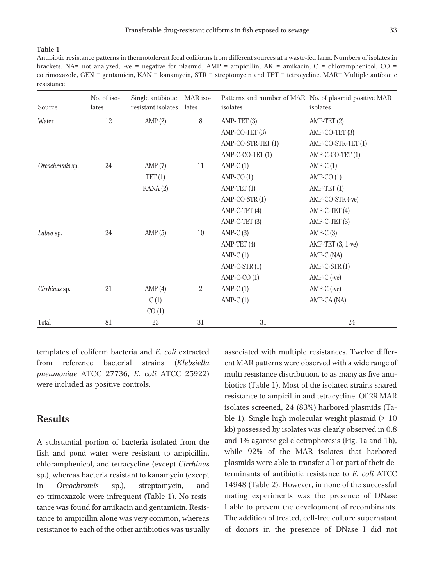### **Table 1**

Antibiotic resistance patterns in thermotolerent fecal coliforms from different sources at a waste-fed farm. Numbers of isolates in brackets. NA= not analyzed, -ve = negative for plasmid, AMP = ampicillin, AK = amikacin, C = chloramphenicol, CO = cotrimoxazole, GEN = gentamicin, KAN = kanamycin, STR = streptomycin and TET = tetracycline, MAR= Multiple antibiotic resistance

| Source          | No. of iso-<br>lates | Single antibiotic<br>resistant isolates | MAR iso-<br>lates | isolates           | Patterns and number of MAR No. of plasmid positive MAR<br>isolates |
|-----------------|----------------------|-----------------------------------------|-------------------|--------------------|--------------------------------------------------------------------|
| Water           | 12                   | AMP(2)                                  | 8                 | AMP-TET $(3)$      | AMP-TET (2)                                                        |
|                 |                      |                                         |                   | AMP-CO-TET (3)     | AMP-CO-TET (3)                                                     |
|                 |                      |                                         |                   | AMP-CO-STR-TET (1) | AMP-CO-STR-TET (1)                                                 |
|                 |                      |                                         |                   | AMP-C-CO-TET (1)   | AMP-C-CO-TET (1)                                                   |
| Oreochromis sp. | 24                   | AMP(7)                                  | 11                | $AMP-C(1)$         | $AMP-C(1)$                                                         |
|                 |                      | TET(1)                                  |                   | $AMP-CO(1)$        | $AMP-CO(1)$                                                        |
|                 |                      | KANA(2)                                 |                   | $AMP-TET(1)$       | $AMP-TET(1)$                                                       |
|                 |                      |                                         |                   | AMP-CO-STR (1)     | AMP-CO-STR (-ve)                                                   |
|                 |                      |                                         |                   | AMP-C-TET (4)      | AMP-C-TET (4)                                                      |
|                 |                      |                                         |                   | AMP-C-TET (3)      | AMP-C-TET (3)                                                      |
| Labeo sp.       | 24                   | AMP $(5)$                               | 10                | $AMP-C(3)$         | $AMP-C(3)$                                                         |
|                 |                      |                                         |                   | $AMP-TET(4)$       | AMP-TET (3, 1-ve)                                                  |
|                 |                      |                                         |                   | $AMP-C(1)$         | AMP-C (NA)                                                         |
|                 |                      |                                         |                   | $AMP-C-STR(1)$     | $AMP-C-STR(1)$                                                     |
|                 |                      |                                         |                   | $AMP-C-CO(1)$      | $AMP-C$ (-ve)                                                      |
| Cirrhinus sp.   | 21                   | AMP(4)                                  | 2                 | $AMP-C(1)$         | $AMP-C$ (-ve)                                                      |
|                 |                      | C(1)                                    |                   | $AMP-C(1)$         | AMP-CA (NA)                                                        |
|                 |                      | CO(1)                                   |                   |                    |                                                                    |
| Total           | 81                   | 23                                      | 31                | 31                 | 24                                                                 |

templates of coliform bacteria and *E. coli* extracted from reference bacterial strains (*Klebsiella pneumoniae* ATCC 27736, *E. coli* ATCC 25922) were included as positive controls.

### **Results**

A substantial portion of bacteria isolated from the fish and pond water were resistant to ampicillin, chloramphenicol, and tetracycline (except *Cirrhinus* sp.), whereas bacteria resistant to kanamycin (except in *Oreochromis* sp.), streptomycin, and co-trimoxazole were infrequent (Table 1). No resistance was found for amikacin and gentamicin. Resistance to ampicillin alone was very common, whereas resistance to each of the other antibiotics was usually associated with multiple resistances. Twelve different MAR patterns were observed with a wide range of multi resistance distribution, to as many as five antibiotics (Table 1). Most of the isolated strains shared resistance to ampicillin and tetracycline. Of 29 MAR isolates screened, 24 (83%) harbored plasmids (Table 1). Single high molecular weight plasmid (> 10 kb) possessed by isolates was clearly observed in 0.8 and 1% agarose gel electrophoresis (Fig. 1a and 1b), while 92% of the MAR isolates that harbored plasmids were able to transfer all or part of their determinants of antibiotic resistance to *E. coli* ATCC 14948 (Table 2). However, in none of the successful mating experiments was the presence of DNase I able to prevent the development of recombinants. The addition of treated, cell-free culture supernatant of donors in the presence of DNase I did not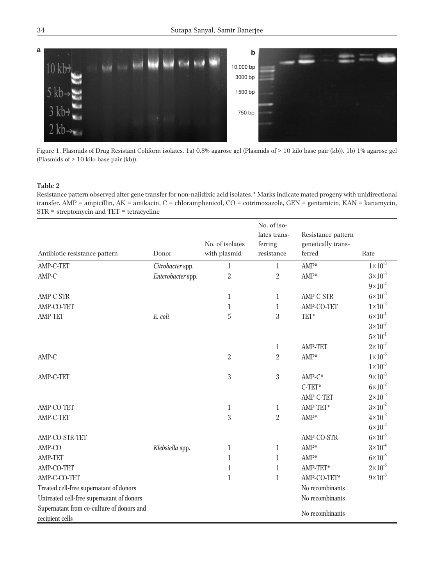

Figure 1. Plasmids of Drug Resistant Coliform isolates. 1a) 0.8% agarose gel (Plasmids of > 10 kilo base pair (kb)). 1b) 1% agarose gel (Plasmids of > 10 kilo base pair (kb)).

#### **Table 2**

Resistance pattern observed after gene transfer for non-nalidixic acid isolates.\* Marks indicate mated progeny with unidirectional transfer. AMP = ampicillin, AK = amikacin, C = chloramphenicol, CO = cotrimoxazole, GEN = gentamicin, KAN = kanamycin, STR = streptomycin and TET = tetracycline

| Antibiotic resistance pattern                                | Donor             | No. of isolates<br>with plasmid | No. of iso-<br>lates trans-<br>ferring<br>resistance | Resistance pattern<br>genetically trans-<br>ferred | Rate               |
|--------------------------------------------------------------|-------------------|---------------------------------|------------------------------------------------------|----------------------------------------------------|--------------------|
| AMP-C-TET                                                    | Citrobacter spp.  | 1                               | 1                                                    | $AMP^*$                                            | $1 \times 10^{-3}$ |
| AMP-C                                                        | Enterobacter spp. | $\overline{2}$                  | $\overline{2}$                                       | $AMP^*$                                            | $3 \times 10^{-3}$ |
|                                                              |                   |                                 |                                                      |                                                    | $9 \times 10^{-4}$ |
| AMP-C-STR                                                    |                   | 1                               | 1                                                    | AMP-C-STR                                          | $6 \times 10^{-3}$ |
| AMP-CO-TET                                                   |                   | $\mathbf{1}$                    | $\mathbf{1}$                                         | AMP-CO-TET                                         | $1 \times 10^{-2}$ |
| AMP-TET                                                      | E. coli           | $\bf 5$                         | 3                                                    | TET*                                               | $6 \times 10^{-1}$ |
|                                                              |                   |                                 |                                                      |                                                    | $3 \times 10^{-2}$ |
|                                                              |                   |                                 |                                                      |                                                    | $5 \times 10^{-1}$ |
|                                                              |                   |                                 | 1                                                    | <b>AMP-TET</b>                                     | $2 \times 10^{-2}$ |
| AMP-C                                                        |                   | $\overline{2}$                  | $\overline{2}$                                       | $AMP^*$                                            | $1 \times 10^{-3}$ |
|                                                              |                   |                                 |                                                      |                                                    | $1 \times 10^{-3}$ |
| AMP-C-TET                                                    |                   | 3                               | 3                                                    | $AMP-C^*$                                          | $9 \times 10^{-3}$ |
|                                                              |                   |                                 |                                                      | $C-TET*$                                           | $6 \times 10^{-2}$ |
|                                                              |                   |                                 |                                                      | AMP-C-TET                                          | $2\times10^{-2}$   |
| AMP-CO-TET                                                   |                   | $\mathbf{1}$                    | $\mathbf{1}$                                         | AMP-TET*                                           | $3 \times 10^{-2}$ |
| AMP-C-TET                                                    |                   | 3                               | 2                                                    | $AMP^*$                                            | $4 \times 10^{-2}$ |
|                                                              |                   |                                 |                                                      |                                                    | $6 \times 10^{-2}$ |
| AMP-CO-STR-TET                                               |                   |                                 |                                                      | AMP-CO-STR                                         | $6 \times 10^{-3}$ |
| AMP-CO                                                       | Klebsiella spp.   | $\mathbf{1}$                    | $\mathbf{1}$                                         | AMP*                                               | $3 \times 10^{-4}$ |
| <b>AMP-TET</b>                                               |                   | $\mathbf{1}$                    | 1                                                    | $AMP^*$                                            | $6 \times 10^{-3}$ |
| AMP-CO-TET                                                   |                   | $\mathbf{1}$                    | $\mathbf{1}$                                         | AMP-TET*                                           | $2 \times 10^{-3}$ |
| AMP-C-CO-TET                                                 |                   | $\mathbf{1}$                    | $\mathbf{1}$                                         | AMP-CO-TET*                                        | $9 \times 10^{-3}$ |
| Treated cell-free supernatant of donors                      |                   |                                 |                                                      | No recombinants                                    |                    |
| Untreated cell-free supernatant of donors                    |                   |                                 |                                                      | No recombinants                                    |                    |
| Supernatant from co-culture of donors and<br>recipient cells |                   |                                 |                                                      | No recombinants                                    |                    |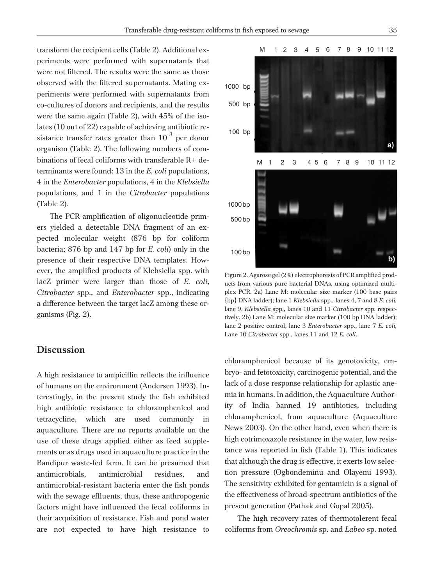transform the recipient cells (Table 2). Additional experiments were performed with supernatants that were not filtered. The results were the same as those observed with the filtered supernatants. Mating experiments were performed with supernatants from co-cultures of donors and recipients, and the results were the same again (Table 2), with 45% of the isolates (10 out of 22) capable of achieving antibiotic resistance transfer rates greater than  $10^{-3}$  per donor organism (Table 2). The following numbers of combinations of fecal coliforms with transferable R+ determinants were found: 13 in the *E. coli* populations, 4 in the *Enterobacter* populations, 4 in the *Klebsiella* populations, and 1 in the *Citrobacter* populations (Table 2).

The PCR amplification of oligonucleotide primers yielded a detectable DNA fragment of an expected molecular weight (876 bp for coliform bacteria; 876 bp and 147 bp for *E. coli*) only in the presence of their respective DNA templates. However, the amplified products of Klebsiella spp. with lacZ primer were larger than those of *E. coli*, *Citrobacter* spp., and *Enterobacter* spp., indicating a difference between the target lacZ among these organisms (Fig. 2).

### **Discussion**

A high resistance to ampicillin reflects the influence of humans on the environment (Andersen 1993). Interestingly, in the present study the fish exhibited high antibiotic resistance to chloramphenicol and tetracycline, which are used commonly in aquaculture. There are no reports available on the use of these drugs applied either as feed supplements or as drugs used in aquaculture practice in the Bandipur waste-fed farm. It can be presumed that antimicrobials, antimicrobial residues, and antimicrobial-resistant bacteria enter the fish ponds with the sewage effluents, thus, these anthropogenic factors might have influenced the fecal coliforms in their acquisition of resistance. Fish and pond water are not expected to have high resistance to



Figure 2. Agarose gel (2%) electrophoresis of PCR amplified products from various pure bacterial DNAs, using optimized multiplex PCR. 2a) Lane M: molecular size marker (100 base pairs {bp} DNA ladder); lane 1 *Klebsiella* spp*.,* lanes 4, 7 and 8 *E. coli,* lane 9, *Klebsiella* spp*.,* lanes 10 and 11 *Citrobacter* spp*.* respectively. 2b) Lane M: molecular size marker (100 bp DNA ladder); lane 2 positive control, lane 3 *Enterobacter* spp*.*, lane 7 *E. coli,* Lane 10 *Citrobacter* spp*.*, lanes 11 and 12 *E. coli.*

chloramphenicol because of its genotoxicity, embryo- and fetotoxicity, carcinogenic potential, and the lack of a dose response relationship for aplastic anemia in humans. In addition, the Aquaculture Authority of India banned 19 antibiotics, including chloramphenicol, from aquaculture (Aquaculture News 2003). On the other hand, even when there is high cotrimoxazole resistance in the water, low resistance was reported in fish (Table 1). This indicates that although the drug is effective, it exerts low selection pressure (Ogbondeminu and Olayemi 1993). The sensitivity exhibited for gentamicin is a signal of the effectiveness of broad-spectrum antibiotics of the present generation (Pathak and Gopal 2005).

The high recovery rates of thermotolerent fecal coliforms from *Oreochromis* sp. and *Labeo* sp. noted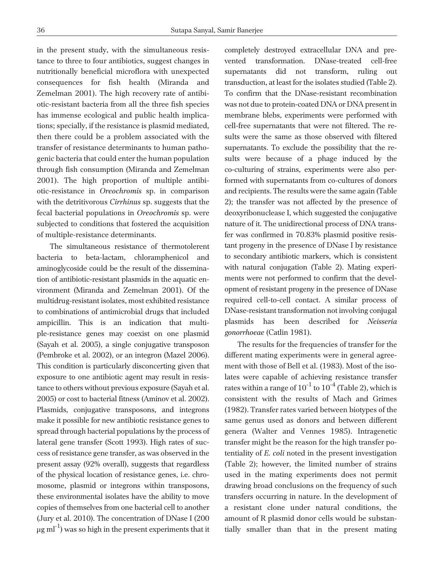in the present study, with the simultaneous resistance to three to four antibiotics, suggest changes in nutritionally beneficial microflora with unexpected consequences for fish health (Miranda and Zemelman 2001). The high recovery rate of antibiotic-resistant bacteria from all the three fish species has immense ecological and public health implications; specially, if the resistance is plasmid mediated, then there could be a problem associated with the transfer of resistance determinants to human pathogenic bacteria that could enter the human population through fish consumption (Miranda and Zemelman 2001). The high proportion of multiple antibiotic-resistance in *Oreochromis* sp. in comparison with the detritivorous *Cirrhinus* sp. suggests that the fecal bacterial populations in *Oreochromis* sp. were subjected to conditions that fostered the acquisition of multiple-resistance determinants.

The simultaneous resistance of thermotolerent bacteria to beta-lactam, chloramphenicol and aminoglycoside could be the result of the dissemination of antibiotic-resistant plasmids in the aquatic environment (Miranda and Zemelman 2001). Of the multidrug-resistant isolates, most exhibited resistance to combinations of antimicrobial drugs that included ampicillin. This is an indication that multiple-resistance genes may coexist on one plasmid (Sayah et al. 2005), a single conjugative transposon (Pembroke et al. 2002), or an integron (Mazel 2006). This condition is particularly disconcerting given that exposure to one antibiotic agent may result in resistance to others without previous exposure (Sayah et al. 2005) or cost to bacterial fitness (Aminov et al. 2002). Plasmids, conjugative transposons, and integrons make it possible for new antibiotic resistance genes to spread through bacterial populations by the process of lateral gene transfer (Scott 1993). High rates of success of resistance gene transfer, as was observed in the present assay (92% overall), suggests that regardless of the physical location of resistance genes, i.e. chromosome, plasmid or integrons within transposons, these environmental isolates have the ability to move copies of themselves from one bacterial cell to another (Jury et al. 2010). The concentration of DNase I (200  $\mu$ g ml<sup>-1</sup>) was so high in the present experiments that it

completely destroyed extracellular DNA and prevented transformation. DNase-treated cell-free supernatants did not transform, ruling out transduction, at least for the isolates studied (Table 2). To confirm that the DNase-resistant recombination was not due to protein-coated DNA or DNA present in membrane blebs, experiments were performed with cell-free supernatants that were not filtered. The results were the same as those observed with filtered supernatants. To exclude the possibility that the results were because of a phage induced by the co-culturing of strains, experiments were also performed with supernatants from co-cultures of donors and recipients. The results were the same again (Table 2); the transfer was not affected by the presence of deoxyribonuclease I, which suggested the conjugative nature of it. The unidirectional process of DNA transfer was confirmed in 70.83% plasmid positive resistant progeny in the presence of DNase I by resistance to secondary antibiotic markers, which is consistent with natural conjugation (Table 2). Mating experiments were not performed to confirm that the development of resistant progeny in the presence of DNase required cell-to-cell contact. A similar process of DNase-resistant transformation not involving conjugal plasmids has been described for *Neisseria gonorrhoeae* (Catlin 1981).

The results for the frequencies of transfer for the different mating experiments were in general agreement with those of Bell et al. (1983). Most of the isolates were capable of achieving resistance transfer rates within a range of  $10^{-1}$  to  $10^{-4}$  (Table 2), which is consistent with the results of Mach and Grimes (1982). Transfer rates varied between biotypes of the same genus used as donors and between different genera (Walter and Vennes 1985). Intragenetic transfer might be the reason for the high transfer potentiality of *E. coli* noted in the present investigation (Table 2); however, the limited number of strains used in the mating experiments does not permit drawing broad conclusions on the frequency of such transfers occurring in nature. In the development of a resistant clone under natural conditions, the amount of R plasmid donor cells would be substantially smaller than that in the present mating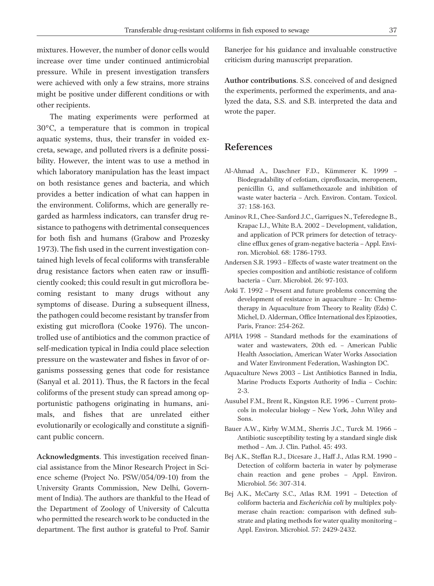mixtures. However, the number of donor cells would increase over time under continued antimicrobial pressure. While in present investigation transfers were achieved with only a few strains, more strains might be positive under different conditions or with other recipients.

The mating experiments were performed at 30°C, a temperature that is common in tropical aquatic systems, thus, their transfer in voided excreta, sewage, and polluted rivers is a definite possibility. However, the intent was to use a method in which laboratory manipulation has the least impact on both resistance genes and bacteria, and which provides a better indication of what can happen in the environment. Coliforms, which are generally regarded as harmless indicators, can transfer drug resistance to pathogens with detrimental consequences for both fish and humans (Grabow and Prozesky 1973). The fish used in the current investigation contained high levels of fecal coliforms with transferable drug resistance factors when eaten raw or insufficiently cooked; this could result in gut microflora becoming resistant to many drugs without any symptoms of disease. During a subsequent illness, the pathogen could become resistant by transfer from existing gut microflora (Cooke 1976). The uncontrolled use of antibiotics and the common practice of self-medication typical in India could place selection pressure on the wastewater and fishes in favor of organisms possessing genes that code for resistance (Sanyal et al. 2011). Thus, the R factors in the fecal coliforms of the present study can spread among opportunistic pathogens originating in humans, animals, and fishes that are unrelated either evolutionarily or ecologically and constitute a significant public concern.

**Acknowledgments**. This investigation received financial assistance from the Minor Research Project in Science scheme (Project No. PSW/054/09-10) from the University Grants Commission, New Delhi, Government of India). The authors are thankful to the Head of the Department of Zoology of University of Calcutta who permitted the research work to be conducted in the department. The first author is grateful to Prof. Samir

Banerjee for his guidance and invaluable constructive criticism during manuscript preparation.

**Author contributions**. S.S. conceived of and designed the experiments, performed the experiments, and analyzed the data, S.S. and S.B. interpreted the data and wrote the paper.

### **References**

- Al-Ahmad A., Daschner F.D., Kümmerer K. 1999 Biodegradability of cefotiam, ciprofloxacin, meropenem, penicillin G, and sulfamethoxazole and inhibition of waste water bacteria – Arch. Environ. Contam. Toxicol. 37: 158-163.
- Aminov R.I., Chee-Sanford J.C., Garrigues N., Teferedegne B., Krapac I.J., White B.A. 2002 – Development, validation, and application of PCR primers for detection of tetracycline efflux genes of gram-negative bacteria – Appl. Environ. Microbiol. 68: 1786-1793.
- Andersen S.R. 1993 Effects of waste water treatment on the species composition and antibiotic resistance of coliform bacteria – Curr. Microbiol. 26: 97-103.
- Aoki T. 1992 Present and future problems concerning the development of resistance in aquaculture – In: Chemotherapy in Aquaculture from Theory to Reality (Eds) C. Michel, D. Alderman, Office International des Epizooties, Paris, France: 254-262.
- APHA 1998 Standard methods for the examinations of water and wastewaters, 20th ed. – American Public Health Association, American Water Works Association and Water Environment Federation, Washington DC.
- Aquaculture News 2003 List Antibiotics Banned in India, Marine Products Exports Authority of India – Cochin: 2-3.
- Ausubel F.M., Brent R., Kingston R.E. 1996 Current protocols in molecular biology – New York, John Wiley and Sons.
- Bauer A.W., Kirby W.M.M., Sherris J.C., Turck M. 1966 Antibiotic susceptibility testing by a standard single disk method – Am. J. Clin. Pathol. 45: 493.
- Bej A.K., Steffan R.J., Dicesare J., Haff J., Atlas R.M. 1990 Detection of coliform bacteria in water by polymerase chain reaction and gene probes – Appl. Environ. Microbiol. 56: 307-314.
- Bej A.K., McCarty S.C., Atlas R.M. 1991 Detection of coliform bacteria and *Escherichia coli* by multiplex polymerase chain reaction: comparison with defined substrate and plating methods for water quality monitoring – Appl. Environ. Microbiol. 57: 2429-2432.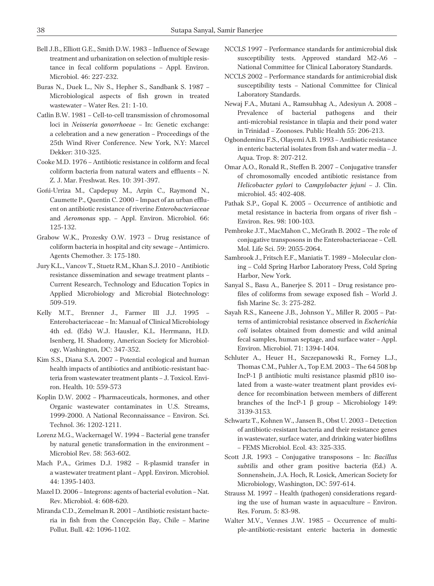- Bell J.B., Elliott G.E., Smith D.W. 1983 Influence of Sewage treatment and urbanization on selection of multiple resistance in fecal coliform populations – Appl. Environ. Microbiol. 46: 227-232.
- Buras N., Duek L., Niv S., Hepher S., Sandbank S. 1987 Microbiological aspects of fish grown in treated wastewater – Water Res. 21: 1-10.
- Catlin B.W. 1981 Cell-to-cell transmission of chromosomal loci in *Neisseria gonorrhoeae* – In: Genetic exchange: a celebration and a new generation – Proceedings of the 25th Wind River Conference. New York, N.Y: Marcel Dekker: 310-325.
- Cooke M.D. 1976 Antibiotic resistance in coliform and fecal coliform bacteria from natural waters and effluents – N. Z. J. Mar. Freshwat. Res. 10: 391-397.
- Goñi-Urriza M., Capdepuy M., Arpin C., Raymond N., Caumette P., Quentin C. 2000 – Impact of an urban effluent on antibiotic resistance of riverine *Enterobacteriaceae* and *Aeromonas* spp. – Appl. Environ. Microbiol. 66: 125-132.
- Grabow W.K., Prozesky O.W. 1973 Drug resistance of coliform bacteria in hospital and city sewage – Antimicro. Agents Chemother. 3: 175-180.
- Jury K.L., Vancov T., Stuetz R.M., Khan S.J. 2010 Antibiotic resistance dissemination and sewage treatment plants – Current Research, Technology and Education Topics in Applied Microbiology and Microbial Biotechnology: 509-519.
- Kelly M.T., Brenner J., Farmer III J.J. 1995 Enterobacteriaceae – In: Manual of Clinical Microbiology 4th ed. (Eds) W.J. Hausler, K.L. Herrmann, H.D. Isenberg, H. Shadomy, American Society for Microbiology, Washington, DC: 347-352.
- Kim S.S., Diana S.A. 2007 Potential ecological and human health impacts of antibiotics and antibiotic-resistant bacteria from wastewater treatment plants – J. Toxicol. Environ. Health*.* 10: 559-573
- Koplin D.W. 2002 Pharmaceuticals, hormones, and other Organic wastewater contaminates in U.S. Streams, 1999-2000. A National Reconnaissance – Environ. Sci. Technol. 36: 1202-1211.
- Lorenz M.G., Wackernagel W. 1994 Bacterial gene transfer by natural genetic transformation in the environment – Microbiol Rev. 58: 563-602.
- Mach P.A., Grimes D.J. 1982 R-plasmid transfer in a wastewater treatment plant – Appl. Environ. Microbiol. 44: 1395-1403.
- Mazel D. 2006 Integrons: agents of bacterial evolution Nat. Rev. Microbiol. 4: 608-620.
- Miranda C.D., Zemelman R. 2001 Antibiotic resistant bacteria in fish from the Concepción Bay, Chile – Marine Pollut. Bull. 42: 1096-1102.
- NCCLS 1997 Performance standards for antimicrobial disk susceptibility tests. Approved standard M2-A6 – National Committee for Clinical Laboratory Standards.
- NCCLS 2002 Performance standards for antimicrobial disk susceptibility tests – National Committee for Clinical Laboratory Standards.
- Newaj F.A., Mutani A., Ramsubhag A., Adesiyun A. 2008 Prevalence of bacterial pathogens and their anti-microbial resistance in tilapia and their pond water in Trinidad – Zoonoses. Public Health 55: 206-213.
- Ogbondeminu F.S., Olayemi A.B. 1993 Antibiotic resistance in enteric bacterial isolates from fish and water media – J. Aqua. Trop. 8: 207-212.
- Omar A.O., Ronald R., Steffen B. 2007 Conjugative transfer of chromosomally encoded antibiotic resistance from *Helicobacter pylori* to *Campylobacter jejuni* – J. Clin. microbiol. 45: 402-408.
- Pathak S.P., Gopal K. 2005 Occurrence of antibiotic and metal resistance in bacteria from organs of river fish – Environ. Res. 98: 100-103.
- Pembroke J.T., MacMahon C., McGrath B. 2002 The role of conjugative transposons in the Enterobacteriaceae – Cell. Mol. Life Sci. 59: 2055-2064.
- Sambrook J., Fritsch E.F., Maniatis T. 1989 Molecular cloning – Cold Spring Harbor Laboratory Press, Cold Spring Harbor, New York.
- Sanyal S., Basu A., Banerjee S. 2011 Drug resistance profiles of coliforms from sewage exposed fish – World J. fish Marine Sc. 3: 275-282.
- Sayah R.S., Kaneene J.B., Johnson Y., Miller R. 2005 Patterns of antimicrobial resistance observed in *Escherichia coli* isolates obtained from domestic and wild animal fecal samples, human septage, and surface water – Appl. Environ. Microbiol. 71: 1394-1404.
- Schluter A., Heuer H., Szczepanowski R., Forney L.J., Thomas C.M., Puhler A., Top E.M. 2003 – The 64 508 bp IncP-1  $\beta$  antibiotic multi resistance plasmid pB10 isolated from a waste-water treatment plant provides evidence for recombination between members of different branches of the IncP-1  $\beta$  group – Microbiology 149: 3139-3153.
- Schwartz T., Kohnen W., Jansen B., Obst U. 2003 Detection of antibiotic-resistant bacteria and their resistance genes in wastewater, surface water, and drinking water biofilms – FEMS Microbiol. Ecol. 43: 325-335.
- Scott J.R. 1993 Conjugative transposons In: *Bacillus subtilis* and other gram positive bacteria (Ed.) A. Sonnenshein, J.A. Hoch, R. Losick, American Society for Microbiology, Washington, DC: 597-614.
- Strauss M. 1997 Health (pathogen) considerations regarding the use of human waste in aquaculture – Environ. Res. Forum. 5: 83-98.
- Walter M.V., Vennes J.W. 1985 Occurrence of multiple-antibiotic-resistant enteric bacteria in domestic